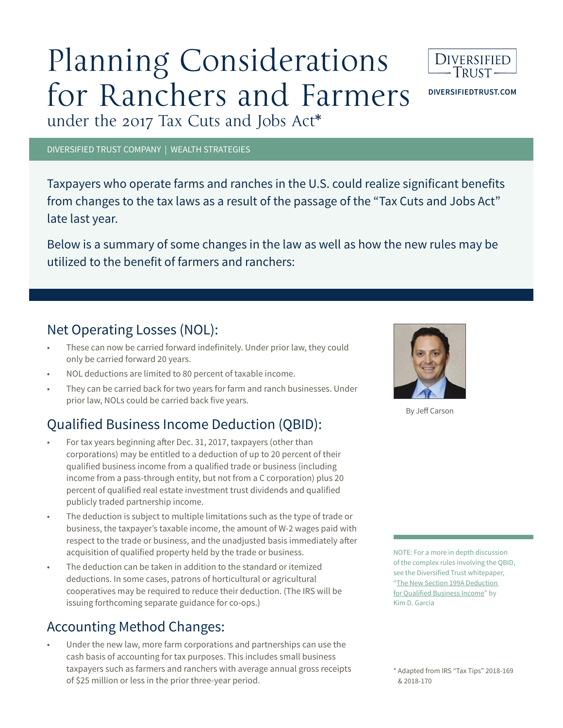# Planning Considerations for Ranchers and Farmers under the 2017 Tax Cuts and Jobs Act\*



**DIVERSIFIEDTRUST.COM**

DIVERSIFIED TRUST COMPANY | WEALTH STRATEGIES

Taxpayers who operate farms and ranches in the U.S. could realize significant benefits from changes to the tax laws as a result of the passage of the "Tax Cuts and Jobs Act" late last year.

Below is a summary of some changes in the law as well as how the new rules may be utilized to the benefit of farmers and ranchers:

#### Net Operating Losses (NOL):

- These can now be carried forward indefinitely. Under prior law, they could only be carried forward 20 years.
- NOL deductions are limited to 80 percent of taxable income.
- They can be carried back for two years for farm and ranch businesses. Under prior law, NOLs could be carried back five years.

### Qualified Business Income Deduction (QBID):

- For tax years beginning after Dec. 31, 2017, taxpayers (other than corporations) may be entitled to a deduction of up to 20 percent of their qualified business income from a qualified trade or business (including income from a pass-through entity, but not from a C corporation) plus 20 percent of qualified real estate investment trust dividends and qualified publicly traded partnership income.
- The deduction is subject to multiple limitations such as the type of trade or business, the taxpayer's taxable income, the amount of W-2 wages paid with respect to the trade or business, and the unadjusted basis immediately after acquisition of qualified property held by the trade or business.
- The deduction can be taken in addition to the standard or itemized deductions. In some cases, patrons of horticultural or agricultural cooperatives may be required to reduce their deduction. (The IRS will be issuing forthcoming separate guidance for co-ops.)

### Accounting Method Changes:

• Under the new law, more farm corporations and partnerships can use the cash basis of accounting for tax purposes. This includes small business taxpayers such as farmers and ranchers with average annual gross receipts of \$25 million or less in the prior three-year period.



By Jeff Carson

NOTE: For a more in depth discussion of the complex rules involving the QBID, see the Diversified Trust whitepaper, "The New Section 199A Deduction for Qualified Business Income" by Kim D. Garcia

<sup>\*</sup> Adapted from IRS "Tax Tips" 2018-169 & 2018-170